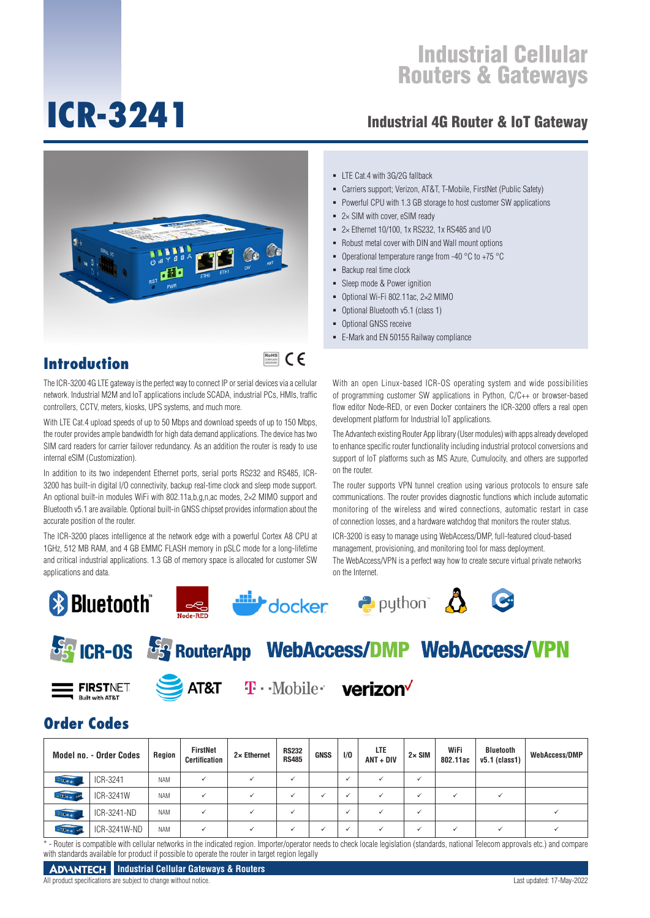# **ICR-3241**

#### Industrial 4G Router & IoT Gateway



Powerful CPU with 1.3 GB storage to host customer SW applications

 $\blacksquare$  LTE Cat.4 with 3G/2G fallback

- 2× SIM with cover, eSIM ready
- 2× Ethernet 10/100, 1x RS232, 1x RS485 and I/O
- Robust metal cover with DIN and Wall mount options

Carriers support; Verizon, AT&T, T-Mobile, FirstNet (Public Safety)

- Operational temperature range from -40 °C to +75 °C
- Backup real time clock
- Sleep mode & Power ignition
- Optional Wi-Fi 802.11ac, 2×2 MIMO
- Optional Bluetooth v5.1 (class 1)
- Optional GNSS receive
- E-Mark and EN 50155 Railway compliance

#### **Introduction**

The ICR-3200 4G LTE gateway is the perfect way to connect IP or serial devices via a cellular network. Industrial M2M and IoT applications include SCADA, industrial PCs, HMIs, traffic controllers, CCTV, meters, kiosks, UPS systems, and much more.

With LTE Cat.4 upload speeds of up to 50 Mbps and download speeds of up to 150 Mbps, the router provides ample bandwidth for high data demand applications. The device has two SIM card readers for carrier failover redundancy. As an addition the router is ready to use internal eSIM (Customization).

In addition to its two independent Ethernet ports, serial ports RS232 and RS485, ICR-3200 has built-in digital I/O connectivity, backup real-time clock and sleep mode support. An optional built-in modules WiFi with 802.11a,b,g,n,ac modes, 2×2 MIMO support and Bluetooth v5.1 are available. Optional built-in GNSS chipset provides information about the accurate position of the router.

The ICR-3200 places intelligence at the network edge with a powerful Cortex A8 CPU at 1GHz, 512 MB RAM, and 4 GB EMMC FLASH memory in pSLC mode for a long-lifetime and critical industrial applications. 1.3 GB of memory space is allocated for customer SW applications and data.

## **& Bluetooth**









## **Fa ICR-0S Fa RouterApp WebAccess/DMP WebAccess/VPN**

**FIRSTNET** 



AT&T T · Mobile **verizon** 

## **Order Codes**

|                 | <b>Model no. - Order Codes</b> | Region     | FirstNet<br><b>Certification</b> | $2 \times$ Ethernet | <b>RS232</b><br><b>RS485</b> | <b>GNSS</b> | 1/0          | LTE<br>$ANT + DIV$ | $2 \times$ SIM | WiFi<br>802.11ac | Bluetooth<br>$v5.1$ (class1) | <b>WebAccess/DMP</b> |
|-----------------|--------------------------------|------------|----------------------------------|---------------------|------------------------------|-------------|--------------|--------------------|----------------|------------------|------------------------------|----------------------|
| $-0000$         | ICR-3241                       | <b>NAM</b> |                                  |                     |                              |             | $\checkmark$ |                    | $\ddot{}$      |                  |                              |                      |
| $-0.00000$      | ICR-3241W                      | <b>NAM</b> |                                  |                     |                              |             | ъ.           |                    |                |                  |                              |                      |
| $-0000$         | ICR-3241-ND                    | <b>NAM</b> |                                  |                     |                              |             |              |                    |                |                  |                              |                      |
| $-$ Me $\alpha$ | ICR-3241W-ND                   | <b>NAM</b> |                                  |                     |                              |             |              |                    |                |                  |                              |                      |

\* - Router is compatible with cellular networks in the indicated region. Importer/operator needs to check locale legislation (standards, national Telecom approvals etc.) and compare with standards available for product if possible to operate the router in target region legally

#### **ADVANTECH** Industrial Cellular Gateways & Routers

All product specifications are subject to change without notice. Last updated: 17-May-2022

## RoHS **COMPLIANT** 2002/95/EC

With an open Linux-based ICR-OS operating system and wide possibilities of programming customer SW applications in Python, C/C++ or browser-based flow editor Node-RED, or even Docker containers the ICR-3200 offers a real open development platform for Industrial IoT applications.

The Advantech existing Router App library (User modules) with apps already developed to enhance specific router functionality including industrial protocol conversions and support of IoT platforms such as MS Azure, Cumulocity, and others are supported on the router.

The router supports VPN tunnel creation using various protocols to ensure safe communications. The router provides diagnostic functions which include automatic monitoring of the wireless and wired connections, automatic restart in case of connection losses, and a hardware watchdog that monitors the router status.

ICR-3200 is easy to manage using WebAccess/DMP, full-featured cloud-based management, provisioning, and monitoring tool for mass deployment. The WebAccess/VPN is a perfect way how to create secure virtual private networks on the Internet.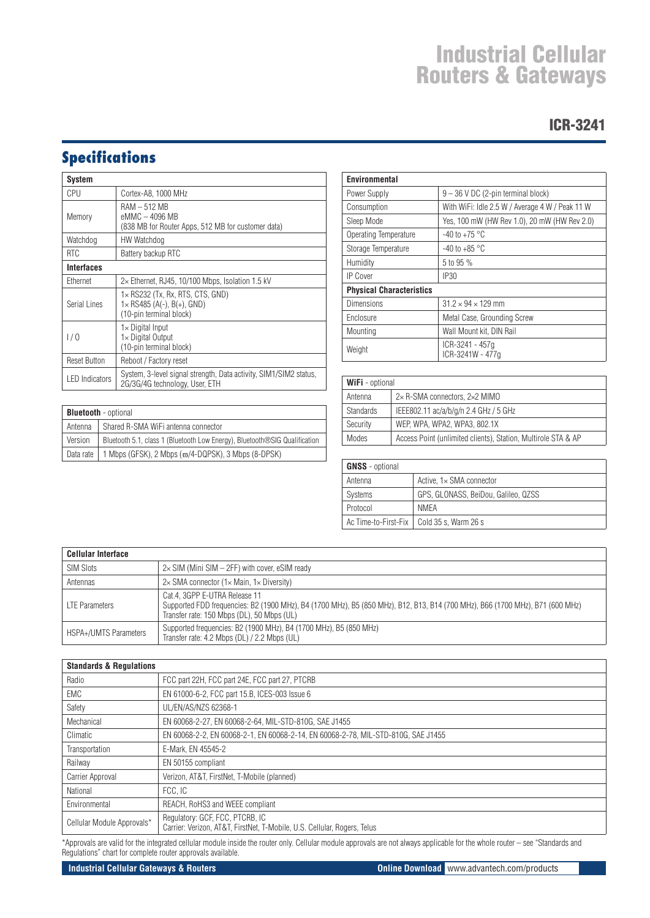#### ICR-3241

## **Specifications**

| System                                                                                         |                                                                                                          |  |  |
|------------------------------------------------------------------------------------------------|----------------------------------------------------------------------------------------------------------|--|--|
| CPU                                                                                            | Cortex-A8, 1000 MHz                                                                                      |  |  |
| RAM – 512 MB<br>eMMC - 4096 MB<br>Memory<br>(838 MB for Router Apps, 512 MB for customer data) |                                                                                                          |  |  |
| Watchdog                                                                                       | HW Watchdog                                                                                              |  |  |
| <b>RTC</b>                                                                                     | Battery backup RTC                                                                                       |  |  |
| <b>Interfaces</b>                                                                              |                                                                                                          |  |  |
| Ethernet                                                                                       | $2\times$ Ethernet, RJ45, 10/100 Mbps, Isolation 1.5 kV                                                  |  |  |
| Serial Lines                                                                                   | $1\times$ RS232 (Tx, Rx, RTS, CTS, GND)<br>$1 \times$ RS485 (A(-), B(+), GND)<br>(10-pin terminal block) |  |  |
| 1/0                                                                                            | $1\times$ Digital Input<br>1× Digital Output<br>(10-pin terminal block)                                  |  |  |
| <b>Reset Button</b>                                                                            | Reboot / Factory reset                                                                                   |  |  |
| <b>LED</b> Indicators                                                                          | System, 3-level signal strength, Data activity, SIM1/SIM2 status,<br>2G/3G/4G technology, User, ETH      |  |  |

| <b>Bluetooth</b> - optional |                                                                            |  |  |  |
|-----------------------------|----------------------------------------------------------------------------|--|--|--|
| l Antenna                   | Shared R-SMA WiFi antenna connector                                        |  |  |  |
| Version                     | Bluetooth 5.1, class 1 (Bluetooth Low Energy), Bluetooth®SIG Qualification |  |  |  |
| Data rate                   | 1 Mbps (GFSK), 2 Mbps $(\varpi/4\text{-DQPSK})$ , 3 Mbps (8-DPSK)          |  |  |  |

| <b>Environmental</b>            |                                                 |  |  |  |
|---------------------------------|-------------------------------------------------|--|--|--|
| Power Supply                    | $9 - 36$ V DC (2-pin terminal block)            |  |  |  |
| Consumption                     | With WiFi: Idle 2.5 W / Average 4 W / Peak 11 W |  |  |  |
| Sleep Mode                      | Yes, 100 mW (HW Rev 1.0), 20 mW (HW Rev 2.0)    |  |  |  |
| Operating Temperature           | $-40$ to $+75$ °C                               |  |  |  |
| Storage Temperature             | -40 to +85 $^{\circ}$ C                         |  |  |  |
| Humidity                        | 5 to 95 %                                       |  |  |  |
| <b>IP Cover</b>                 | IP30                                            |  |  |  |
| <b>Physical Characteristics</b> |                                                 |  |  |  |
| Dimensions                      | $31.2 \times 94 \times 129$ mm                  |  |  |  |
| Enclosure                       | Metal Case, Grounding Screw                     |  |  |  |
| Mounting                        | Wall Mount kit. DIN Rail                        |  |  |  |
| Weight                          | ICR-3241 - 457q<br>ICR-3241W - 477a             |  |  |  |

| <b>WiFi</b> - optional                                                 |                                       |  |  |  |
|------------------------------------------------------------------------|---------------------------------------|--|--|--|
| Antenna                                                                | 2×R-SMA connectors, 2×2 MIMO          |  |  |  |
| <b>Standards</b>                                                       | IEEE802.11 ac/a/b/g/n 2.4 GHz / 5 GHz |  |  |  |
| Security<br>WEP, WPA, WPA2, WPA3, 802.1X                               |                                       |  |  |  |
| Access Point (unlimited clients), Station, Multirole STA & AP<br>Modes |                                       |  |  |  |

| <b>GNSS</b> - optional |                                             |  |  |  |
|------------------------|---------------------------------------------|--|--|--|
| Antenna                | Active, 1x SMA connector                    |  |  |  |
| Systems                | GPS, GLONASS, BeiDou, Galileo, QZSS         |  |  |  |
| Protocol               | NMFA                                        |  |  |  |
|                        | Ac Time-to-First-Fix   Cold 35 s, Warm 26 s |  |  |  |

| <b>Cellular Interface</b>    |                                                                                                                                                                                                              |  |  |  |
|------------------------------|--------------------------------------------------------------------------------------------------------------------------------------------------------------------------------------------------------------|--|--|--|
| <b>SIM Slots</b>             | $2\times$ SIM (Mini SIM $-$ 2FF) with cover, eSIM ready                                                                                                                                                      |  |  |  |
| Antennas                     | $2\times$ SMA connector (1 $\times$ Main, 1 $\times$ Diversity)                                                                                                                                              |  |  |  |
| <b>LTE Parameters</b>        | Cat.4. 3GPP E-UTRA Release 11<br>Supported FDD frequencies: B2 (1900 MHz), B4 (1700 MHz), B5 (850 MHz), B12, B13, B14 (700 MHz), B66 (1700 MHz), B71 (600 MHz)<br>Transfer rate: 150 Mbps (DL), 50 Mbps (UL) |  |  |  |
| <b>HSPA+/UMTS Parameters</b> | Supported frequencies: B2 (1900 MHz), B4 (1700 MHz), B5 (850 MHz)<br>Transfer rate: 4.2 Mbps (DL) / 2.2 Mbps (UL)                                                                                            |  |  |  |

| <b>Standards &amp; Regulations</b> |                                                                                                             |  |  |  |
|------------------------------------|-------------------------------------------------------------------------------------------------------------|--|--|--|
| Radio                              | FCC part 22H, FCC part 24E, FCC part 27, PTCRB                                                              |  |  |  |
| EMC                                | EN 61000-6-2, FCC part 15.B, ICES-003 Issue 6                                                               |  |  |  |
| Safety                             | UL/EN/AS/NZS 62368-1                                                                                        |  |  |  |
| Mechanical                         | EN 60068-2-27, EN 60068-2-64, MIL-STD-810G, SAE J1455                                                       |  |  |  |
| Climatic                           | EN 60068-2-2, EN 60068-2-1, EN 60068-2-14, EN 60068-2-78, MIL-STD-810G, SAE J1455                           |  |  |  |
| Transportation                     | E-Mark, EN 45545-2                                                                                          |  |  |  |
| Railway                            | EN 50155 compliant                                                                                          |  |  |  |
| Carrier Approval                   | Verizon, AT&T, FirstNet, T-Mobile (planned)                                                                 |  |  |  |
| National                           | FCC, IC                                                                                                     |  |  |  |
| Environmental                      | REACH, RoHS3 and WEEE compliant                                                                             |  |  |  |
| Cellular Module Approvals*         | Regulatory: GCF, FCC, PTCRB, IC<br>Carrier: Verizon, AT&T, FirstNet, T-Mobile, U.S. Cellular, Rogers, Telus |  |  |  |

\*Approvals are valid for the integrated cellular module inside the router only. Cellular module approvals are not always applicable for the whole router – see "Standards and Regulations" chart for complete router approvals available.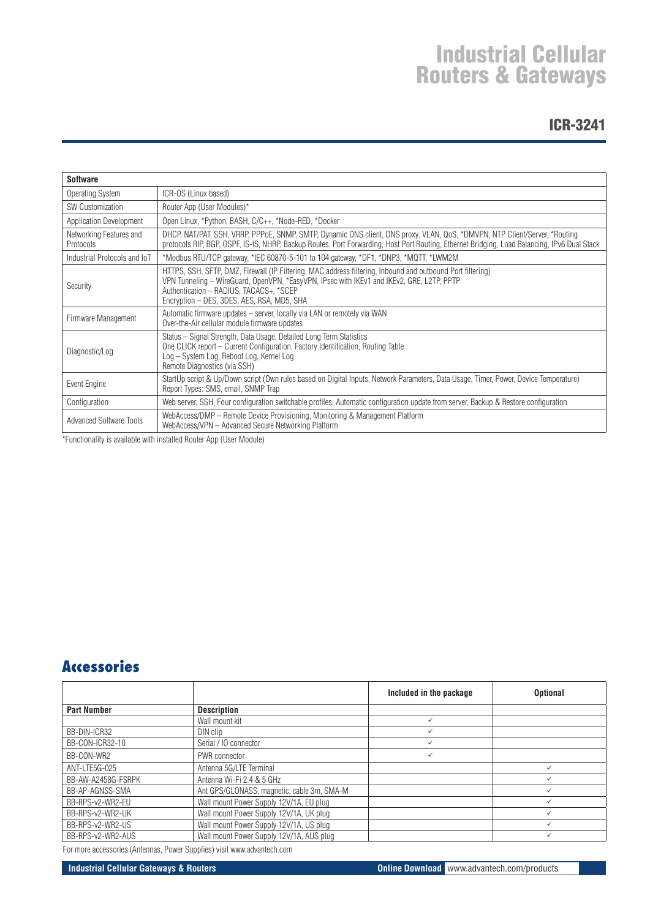#### ICR-3241

| <b>Software</b>                                       |                                                                                                                                                                                                                                                                                                  |  |  |  |
|-------------------------------------------------------|--------------------------------------------------------------------------------------------------------------------------------------------------------------------------------------------------------------------------------------------------------------------------------------------------|--|--|--|
| Operating System                                      | ICR-OS (Linux based)                                                                                                                                                                                                                                                                             |  |  |  |
| Router App (User Modules)*<br><b>SW Customization</b> |                                                                                                                                                                                                                                                                                                  |  |  |  |
| Application Development                               | Open Linux, *Python, BASH, C/C++, *Node-RED, *Docker                                                                                                                                                                                                                                             |  |  |  |
| Networking Features and<br>Protocols                  | DHCP, NAT/PAT, SSH, VRRP, PPPoE, SNMP, SMTP, Dynamic DNS client, DNS proxy, VLAN, QoS, *DMVPN, NTP Client/Server, *Routing<br>protocols RIP, BGP, OSPF, IS-IS, NHRP, Backup Routes, Port Forwarding, Host Port Routing, Ethernet Bridging, Load Balancing, IPv6 Dual Stack                       |  |  |  |
| Industrial Protocols and IoT                          | *Modbus RTU/TCP gateway, *IEC 60870-5-101 to 104 gateway, *DF1, *DNP3, *MQTT, *LWM2M                                                                                                                                                                                                             |  |  |  |
| Security                                              | HTTPS, SSH, SFTP, DMZ, Firewall (IP Filtering, MAC address filtering, Inbound and outbound Port filtering)<br>VPN Tunneling - WireGuard, OpenVPN, *EasyVPN, IPsec with IKEv1 and IKEv2, GRE, L2TP, PPTP<br>Authentication - RADIUS, TACACS+, *SCEP<br>Encryption - DES, 3DES, AES, RSA, MD5, SHA |  |  |  |
| Firmware Management                                   | Automatic firmware updates - server, locally via LAN or remotely via WAN<br>Over-the-Air cellular module firmware updates                                                                                                                                                                        |  |  |  |
| Diagnostic/Log                                        | Status – Signal Strength, Data Usage, Detailed Long Term Statistics<br>One CLICK report – Current Configuration, Factory Identification, Routing Table<br>Log - System Log, Reboot Log, Kernel Log<br>Remote Diagnostics (via SSH)                                                               |  |  |  |
| Event Engine                                          | StartUp script & Up/Down script (Own rules based on Digital Inputs, Network Parameters, Data Usage, Timer, Power, Device Temperature)<br>Report Types: SMS, email, SNMP Trap                                                                                                                     |  |  |  |
| Configuration                                         | Web server, SSH, Four configuration switchable profiles, Automatic configuration update from server, Backup & Restore configuration                                                                                                                                                              |  |  |  |
| <b>Advanced Software Tools</b>                        | WebAccess/DMP - Remote Device Provisioning, Monitoring & Management Platform<br>WebAccess/VPN - Advanced Secure Networking Platform                                                                                                                                                              |  |  |  |

\*Functionality is available with installed Router App (User Module)

#### **Accessories**

|                    |                                            | Included in the package | <b>Optional</b> |
|--------------------|--------------------------------------------|-------------------------|-----------------|
| <b>Part Number</b> | <b>Description</b>                         |                         |                 |
|                    | Wall mount kit                             | $\checkmark$            |                 |
| BB-DIN-ICR32       | DIN clip                                   |                         |                 |
| BB-CON-ICR32-10    | Serial / 10 connector                      |                         |                 |
| BB-CON-WR2         | PWR connector                              | $\checkmark$            |                 |
| ANT-LTE5G-025      | Antenna 5G/LTE Terminal                    |                         |                 |
| BB-AW-A2458G-FSRPK | Antenna Wi-Fi 2.4 & 5 GHz                  |                         |                 |
| BB-AP-AGNSS-SMA    | Ant GPS/GLONASS, magnetic, cable 3m, SMA-M |                         |                 |
| BB-RPS-v2-WR2-EU   | Wall mount Power Supply 12V/1A, EU plug    |                         |                 |
| BB-RPS-v2-WR2-UK   | Wall mount Power Supply 12V/1A, UK plug    |                         |                 |
| BB-RPS-v2-WR2-US   | Wall mount Power Supply 12V/1A, US plug    |                         |                 |
| BB-RPS-v2-WR2-AUS  | Wall mount Power Supply 12V/1A, AUS plug   |                         |                 |

For more accessories (Antennas, Power Supplies) visit www.advantech.com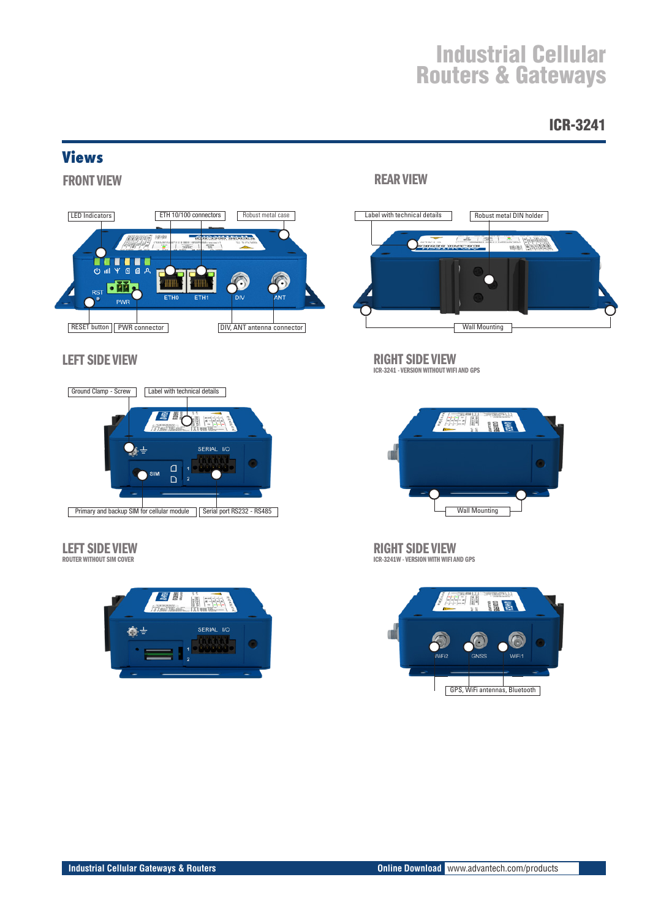#### ICR-3241

#### **Views**

FRONT VIEW



#### LEFT SIDE VIEW



### LEFT SIDE VIEW

ROUTER WITHOUT SIM COVER



#### REAR VIEW



### RIGHT SIDE VIEW

ICR-3241 - VERSION WITHOUT WIFI AND GPS



RIGHT SIDE VIEW ICR-3241W - VERSION WITH WIFI AND GPS

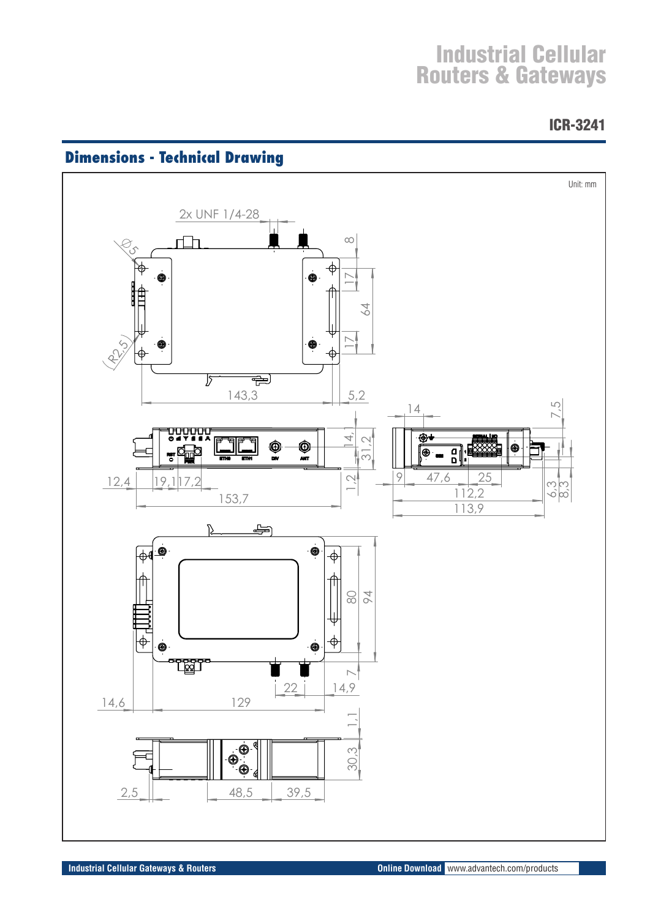ICR-3241



## **Dimensions - Technical Drawing**